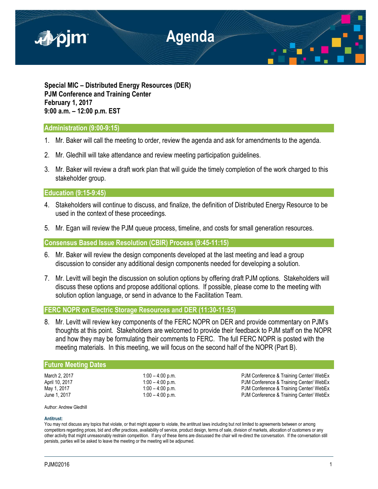

**Special MIC – Distributed Energy Resources (DER) PJM Conference and Training Center February 1, 2017 9:00 a.m. – 12:00 p.m. EST**

# **Administration (9:00-9:15)**

- 1. Mr. Baker will call the meeting to order, review the agenda and ask for amendments to the agenda.
- 2. Mr. Gledhill will take attendance and review meeting participation guidelines.
- 3. Mr. Baker will review a draft work plan that will guide the timely completion of the work charged to this stakeholder group.

## **Education (9:15-9:45)**

- 4. Stakeholders will continue to discuss, and finalize, the definition of Distributed Energy Resource to be used in the context of these proceedings.
- 5. Mr. Egan will review the PJM queue process, timeline, and costs for small generation resources.

**Consensus Based Issue Resolution (CBIR) Process (9:45-11:15)**

- 6. Mr. Baker will review the design components developed at the last meeting and lead a group discussion to consider any additional design components needed for developing a solution.
- 7. Mr. Levitt will begin the discussion on solution options by offering draft PJM options. Stakeholders will discuss these options and propose additional options. If possible, please come to the meeting with solution option language, or send in advance to the Facilitation Team.

## **FERC NOPR on Electric Storage Resources and DER (11:30-11:55)**

8. Mr. Levitt will review key components of the FERC NOPR on DER and provide commentary on PJM's thoughts at this point. Stakeholders are welcomed to provide their feedback to PJM staff on the NOPR and how they may be formulating their comments to FERC. The full FERC NOPR is posted with the meeting materials. In this meeting, we will focus on the second half of the NOPR (Part B).

### **Future Meeting Dates**

March 2, 2017 **1:00 – 4:00 p.m. 1:00 – 1:00 p.m.** PJM Conference & Training Center/ WebEx April 10, 2017 1:00 – 4:00 p.m. PJM Conference & Training Center/ WebEx May 1, 2017 **1:00 – 4:00 p.m.** The state of the May 1, 2017 **PJM Conference & Training Center/ WebEx**<br>June 1, 2017 **1:00 – 4:00 p.m.** The state of the May 1, 2017 PJM Conference & Training Center/ WebEx

Author: Andrew Gledhill

#### **Antitrust:**

You may not discuss any topics that violate, or that might appear to violate, the antitrust laws including but not limited to agreements between or among competitors regarding prices, bid and offer practices, availability of service, product design, terms of sale, division of markets, allocation of customers or any other activity that might unreasonably restrain competition. If any of these items are discussed the chair will re-direct the conversation. If the conversation still persists, parties will be asked to leave the meeting or the meeting will be adjourned.